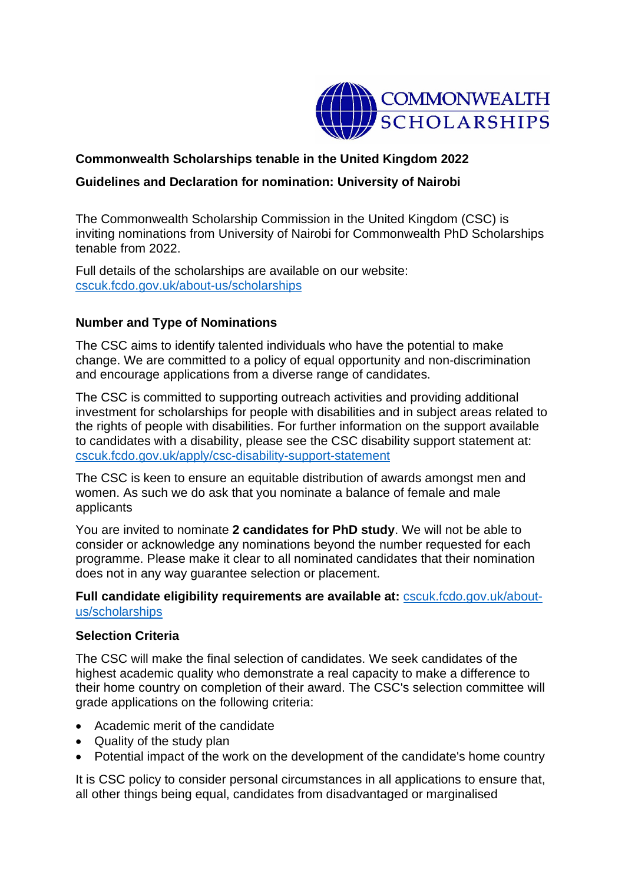

# **Commonwealth Scholarships tenable in the United Kingdom 2022**

# **Guidelines and Declaration for nomination: University of Nairobi**

The Commonwealth Scholarship Commission in the United Kingdom (CSC) is inviting nominations from University of Nairobi for Commonwealth PhD Scholarships tenable from 2022.

Full details of the scholarships are available on our website: [cscuk.fcdo.gov.uk/about-us/scholarships](https://cscuk.fcdo.gov.uk/about-us/scholarships/)

## **Number and Type of Nominations**

The CSC aims to identify talented individuals who have the potential to make change. We are committed to a policy of equal opportunity and non-discrimination and encourage applications from a diverse range of candidates.

The CSC is committed to supporting outreach activities and providing additional investment for scholarships for people with disabilities and in subject areas related to the rights of people with disabilities. For further information on the support available to candidates with a disability, please see the CSC disability support statement at: [cscuk.fcdo.gov.uk/apply/csc-disability-support-statement](https://cscuk.fcdo.gov.uk/apply/csc-disability-support-statement/)

The CSC is keen to ensure an equitable distribution of awards amongst men and women. As such we do ask that you nominate a balance of female and male applicants

You are invited to nominate **2 candidates for PhD study**. We will not be able to consider or acknowledge any nominations beyond the number requested for each programme. Please make it clear to all nominated candidates that their nomination does not in any way guarantee selection or placement.

**Full candidate eligibility requirements are available at:** [cscuk.fcdo.gov.uk/about](https://cscuk.fcdo.gov.uk/about-us/scholarships/)[us/scholarships](https://cscuk.fcdo.gov.uk/about-us/scholarships/)

#### **Selection Criteria**

The CSC will make the final selection of candidates. We seek candidates of the highest academic quality who demonstrate a real capacity to make a difference to their home country on completion of their award. The CSC's selection committee will grade applications on the following criteria:

- Academic merit of the candidate
- Quality of the study plan
- Potential impact of the work on the development of the candidate's home country

It is CSC policy to consider personal circumstances in all applications to ensure that, all other things being equal, candidates from disadvantaged or marginalised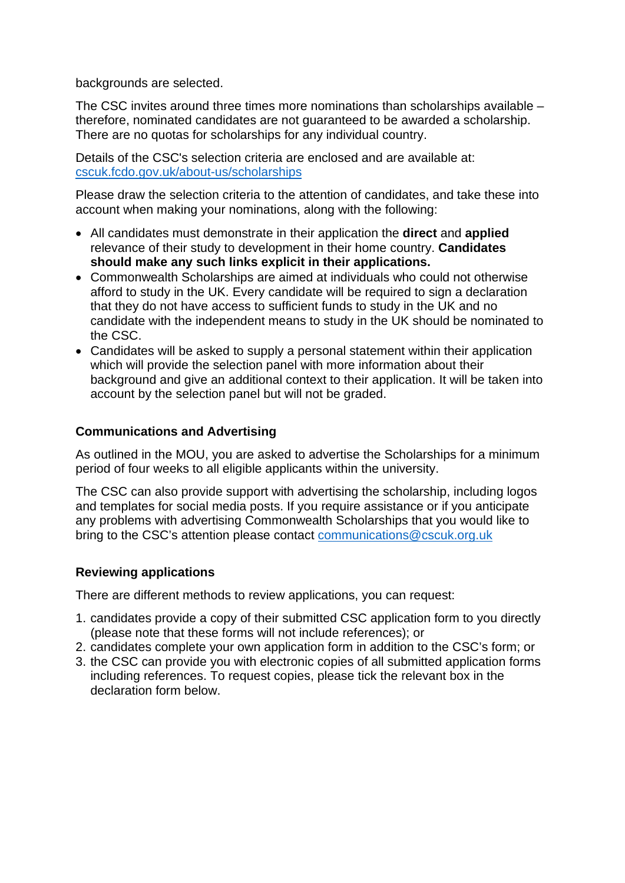backgrounds are selected.

The CSC invites around three times more nominations than scholarships available – therefore, nominated candidates are not guaranteed to be awarded a scholarship. There are no quotas for scholarships for any individual country.

Details of the CSC's selection criteria are enclosed and are available at: [cscuk.fcdo.gov.uk/about-us/scholarships](https://cscuk.fcdo.gov.uk/about-us/scholarships/) 

Please draw the selection criteria to the attention of candidates, and take these into account when making your nominations, along with the following:

- All candidates must demonstrate in their application the **direct** and **applied** relevance of their study to development in their home country. **Candidates should make any such links explicit in their applications.**
- Commonwealth Scholarships are aimed at individuals who could not otherwise afford to study in the UK. Every candidate will be required to sign a declaration that they do not have access to sufficient funds to study in the UK and no candidate with the independent means to study in the UK should be nominated to the CSC.
- Candidates will be asked to supply a personal statement within their application which will provide the selection panel with more information about their background and give an additional context to their application. It will be taken into account by the selection panel but will not be graded.

## **Communications and Advertising**

As outlined in the MOU, you are asked to advertise the Scholarships for a minimum period of four weeks to all eligible applicants within the university.

The CSC can also provide support with advertising the scholarship, including logos and templates for social media posts. If you require assistance or if you anticipate any problems with advertising Commonwealth Scholarships that you would like to bring to the CSC's attention please contact [communications@cscuk.org.uk](mailto:communications@cscuk.org.uk) 

#### **Reviewing applications**

There are different methods to review applications, you can request:

- 1. candidates provide a copy of their submitted CSC application form to you directly (please note that these forms will not include references); or
- 2. candidates complete your own application form in addition to the CSC's form; or
- 3. the CSC can provide you with electronic copies of all submitted application forms including references. To request copies, please tick the relevant box in the declaration form below.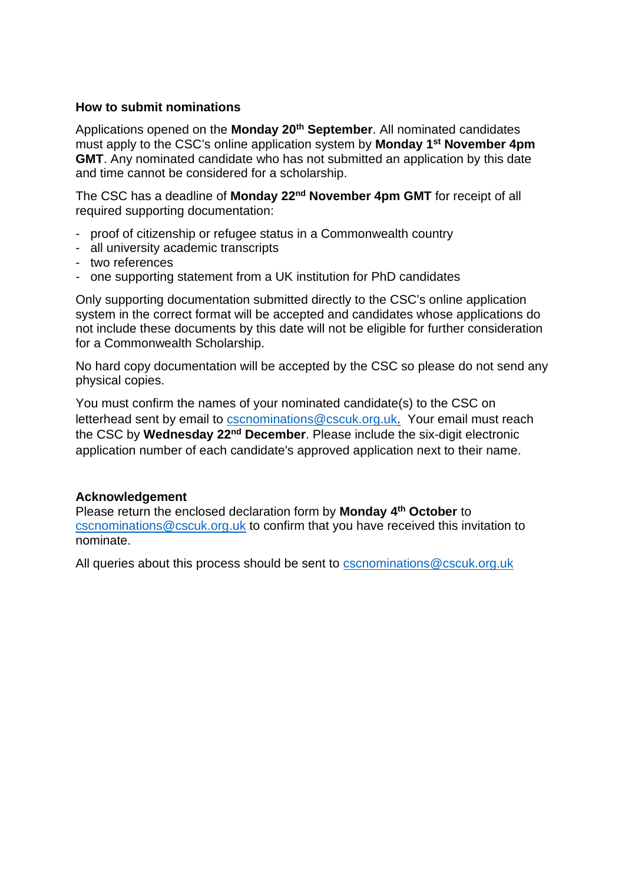#### **How to submit nominations**

Applications opened on the **Monday 20th September**. All nominated candidates must apply to the CSC's online application system by **Monday 1st November 4pm GMT**. Any nominated candidate who has not submitted an application by this date and time cannot be considered for a scholarship.

The CSC has a deadline of **Monday 22nd November 4pm GMT** for receipt of all required supporting documentation:

- proof of citizenship or refugee status in a Commonwealth country
- all university academic transcripts
- two references
- one supporting statement from a UK institution for PhD candidates

Only supporting documentation submitted directly to the CSC's online application system in the correct format will be accepted and candidates whose applications do not include these documents by this date will not be eligible for further consideration for a Commonwealth Scholarship.

No hard copy documentation will be accepted by the CSC so please do not send any physical copies.

You must confirm the names of your nominated candidate(s) to the CSC on letterhead sent by email to [cscnominations@cscuk.org.uk.](mailto:cscnominations@cscuk.org.uk) Your email must reach the CSC by **Wednesday 22nd December**. Please include the six-digit electronic application number of each candidate's approved application next to their name.

#### **Acknowledgement**

Please return the enclosed declaration form by **Monday 4th October** to [cscnominations@cscuk.org.uk](mailto:cscnominations@cscuk.org.uk) to confirm that you have received this invitation to nominate.

All queries about this process should be sent to **cscnominations@cscuk.org.uk**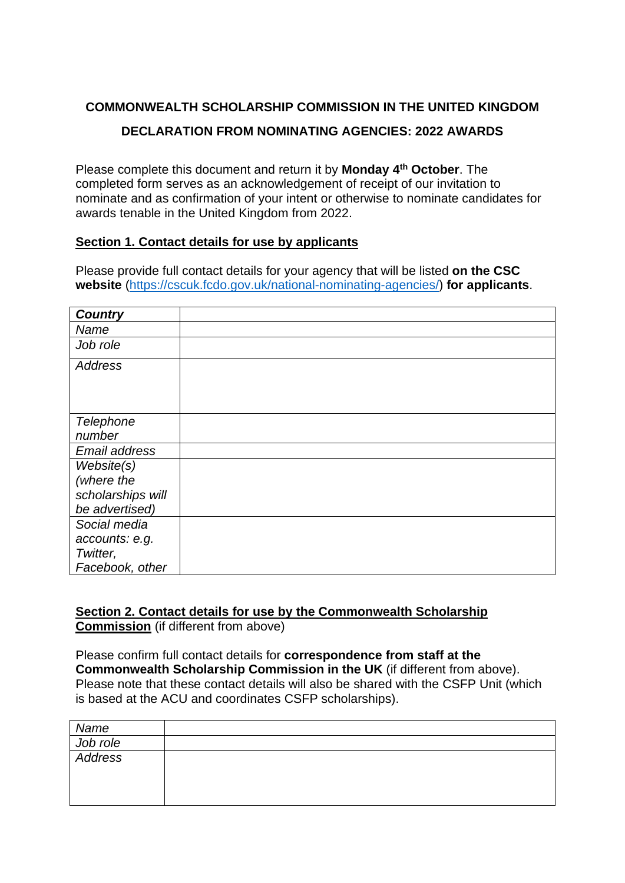# **COMMONWEALTH SCHOLARSHIP COMMISSION IN THE UNITED KINGDOM DECLARATION FROM NOMINATING AGENCIES: 2022 AWARDS**

Please complete this document and return it by **Monday 4th October**. The completed form serves as an acknowledgement of receipt of our invitation to nominate and as confirmation of your intent or otherwise to nominate candidates for awards tenable in the United Kingdom from 2022.

## **Section 1. Contact details for use by applicants**

Please provide full contact details for your agency that will be listed **on the CSC website** [\(https://cscuk.fcdo.gov.uk/national-nominating-agencies/\)](https://cscuk.fcdo.gov.uk/national-nominating-agencies/) **for applicants**.

| <b>Country</b>    |  |
|-------------------|--|
| Name              |  |
| Job role          |  |
| <b>Address</b>    |  |
|                   |  |
|                   |  |
|                   |  |
| <b>Telephone</b>  |  |
| number            |  |
| Email address     |  |
| Website(s)        |  |
| (where the        |  |
| scholarships will |  |
| be advertised)    |  |
| Social media      |  |
| accounts: e.g.    |  |
| Twitter,          |  |
| Facebook, other   |  |

#### **Section 2. Contact details for use by the Commonwealth Scholarship Commission** (if different from above)

Please confirm full contact details for **correspondence from staff at the Commonwealth Scholarship Commission in the UK** (if different from above). Please note that these contact details will also be shared with the CSFP Unit (which is based at the ACU and coordinates CSFP scholarships).

| Name                |  |
|---------------------|--|
| Job role<br>Address |  |
|                     |  |
|                     |  |
|                     |  |
|                     |  |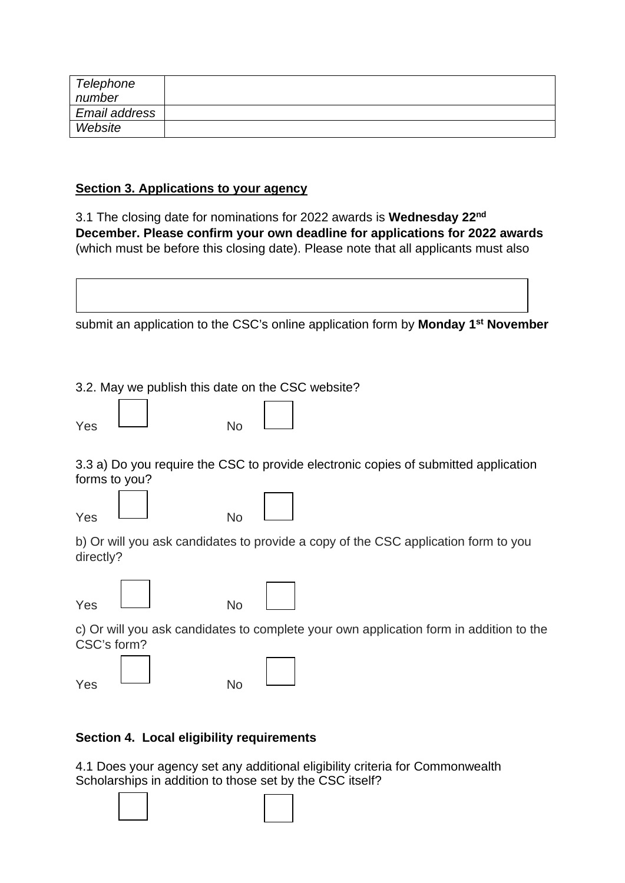| Telephone     |  |
|---------------|--|
| number        |  |
| Email address |  |
| Website       |  |

# **Section 3. Applications to your agency**

3.1 The closing date for nominations for 2022 awards is **Wednesday 22nd December. Please confirm your own deadline for applications for 2022 awards**  (which must be before this closing date). Please note that all applicants must also

|           |               |           | submit an application to the CSC's online application form by Monday 1 <sup>st</sup> November |
|-----------|---------------|-----------|-----------------------------------------------------------------------------------------------|
|           |               |           |                                                                                               |
|           |               |           | 3.2. May we publish this date on the CSC website?                                             |
| Yes       |               | <b>No</b> |                                                                                               |
|           | forms to you? |           | 3.3 a) Do you require the CSC to provide electronic copies of submitted application           |
| Yes       |               | <b>No</b> |                                                                                               |
| directly? |               |           | b) Or will you ask candidates to provide a copy of the CSC application form to you            |
| Yes       |               | <b>No</b> |                                                                                               |
|           | CSC's form?   |           | c) Or will you ask candidates to complete your own application form in addition to the        |
| Yes       |               | <b>No</b> |                                                                                               |

# **Section 4. Local eligibility requirements**

4.1 Does your agency set any additional eligibility criteria for Commonwealth Scholarships in addition to those set by the CSC itself?

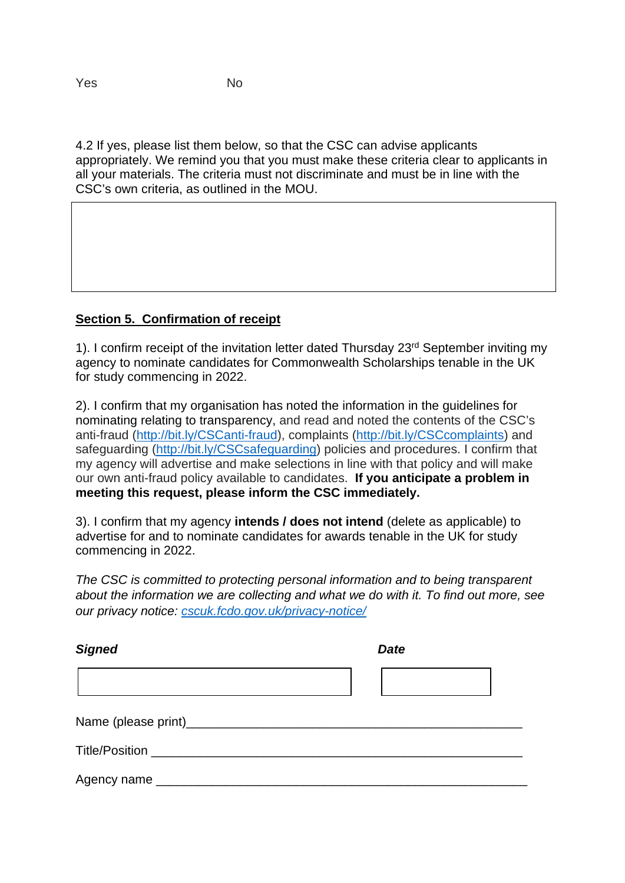4.2 If yes, please list them below, so that the CSC can advise applicants appropriately. We remind you that you must make these criteria clear to applicants in all your materials. The criteria must not discriminate and must be in line with the CSC's own criteria, as outlined in the MOU.

## **Section 5. Confirmation of receipt**

1). I confirm receipt of the invitation letter dated Thursday 23<sup>rd</sup> September inviting my agency to nominate candidates for Commonwealth Scholarships tenable in the UK for study commencing in 2022.

2). I confirm that my organisation has noted the information in the guidelines for nominating relating to transparency, and read and noted the contents of the CSC's anti-fraud [\(http://bit.ly/CSCanti-fraud\)](http://bit.ly/CSCanti-fraud), complaints [\(http://bit.ly/CSCcomplaints\)](http://bit.ly/CSCcomplaints) and safeguarding [\(http://bit.ly/CSCsafeguarding\)](http://bit.ly/CSCsafeguarding) policies and procedures. I confirm that my agency will advertise and make selections in line with that policy and will make our own anti-fraud policy available to candidates. **If you anticipate a problem in meeting this request, please inform the CSC immediately.**

3). I confirm that my agency **intends / does not intend** (delete as applicable) to advertise for and to nominate candidates for awards tenable in the UK for study commencing in 2022.

*The CSC is committed to protecting personal information and to being transparent about the information we are collecting and what we do with it. To find out more, see our privacy notice: [cscuk.fcdo.gov.uk/privacy-notice/](https://cscuk.fcdo.gov.uk/privacy-notice/)*

| <b>Signed</b>  | <b>Date</b> |
|----------------|-------------|
|                |             |
|                |             |
|                |             |
| Agency name __ |             |